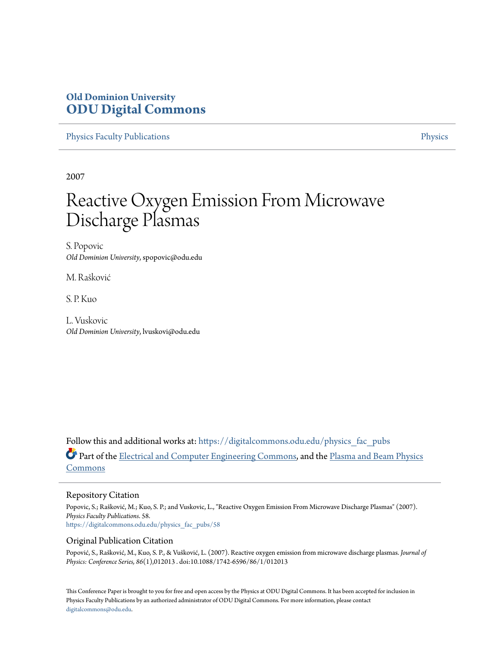# **Old Dominion University [ODU Digital Commons](https://digitalcommons.odu.edu?utm_source=digitalcommons.odu.edu%2Fphysics_fac_pubs%2F58&utm_medium=PDF&utm_campaign=PDFCoverPages)**

[Physics Faculty Publications](https://digitalcommons.odu.edu/physics_fac_pubs?utm_source=digitalcommons.odu.edu%2Fphysics_fac_pubs%2F58&utm_medium=PDF&utm_campaign=PDFCoverPages) **[Physics](https://digitalcommons.odu.edu/physics?utm_source=digitalcommons.odu.edu%2Fphysics_fac_pubs%2F58&utm_medium=PDF&utm_campaign=PDFCoverPages)** 

2007

# Reactive Oxygen Emission From Microwave Discharge Plasmas

S. Popovic *Old Dominion University*, spopovic@odu.edu

M. Rašković

S. P. Kuo

L. Vuskovic *Old Dominion University*, lvuskovi@odu.edu

Follow this and additional works at: [https://digitalcommons.odu.edu/physics\\_fac\\_pubs](https://digitalcommons.odu.edu/physics_fac_pubs?utm_source=digitalcommons.odu.edu%2Fphysics_fac_pubs%2F58&utm_medium=PDF&utm_campaign=PDFCoverPages) Part of the [Electrical and Computer Engineering Commons](http://network.bepress.com/hgg/discipline/266?utm_source=digitalcommons.odu.edu%2Fphysics_fac_pubs%2F58&utm_medium=PDF&utm_campaign=PDFCoverPages), and the [Plasma and Beam Physics](http://network.bepress.com/hgg/discipline/205?utm_source=digitalcommons.odu.edu%2Fphysics_fac_pubs%2F58&utm_medium=PDF&utm_campaign=PDFCoverPages) [Commons](http://network.bepress.com/hgg/discipline/205?utm_source=digitalcommons.odu.edu%2Fphysics_fac_pubs%2F58&utm_medium=PDF&utm_campaign=PDFCoverPages)

# Repository Citation

Popovic, S.; Rašković, M.; Kuo, S. P.; and Vuskovic, L., "Reactive Oxygen Emission From Microwave Discharge Plasmas" (2007). *Physics Faculty Publications*. 58. [https://digitalcommons.odu.edu/physics\\_fac\\_pubs/58](https://digitalcommons.odu.edu/physics_fac_pubs/58?utm_source=digitalcommons.odu.edu%2Fphysics_fac_pubs%2F58&utm_medium=PDF&utm_campaign=PDFCoverPages)

## Original Publication Citation

Popović, S., Rašković, M., Kuo, S. P., & Vušković, L. (2007). Reactive oxygen emission from microwave discharge plasmas. *Journal of Physics: Conference Series, 86*(1),012013 . doi:10.1088/1742-6596/86/1/012013

This Conference Paper is brought to you for free and open access by the Physics at ODU Digital Commons. It has been accepted for inclusion in Physics Faculty Publications by an authorized administrator of ODU Digital Commons. For more information, please contact [digitalcommons@odu.edu.](mailto:digitalcommons@odu.edu)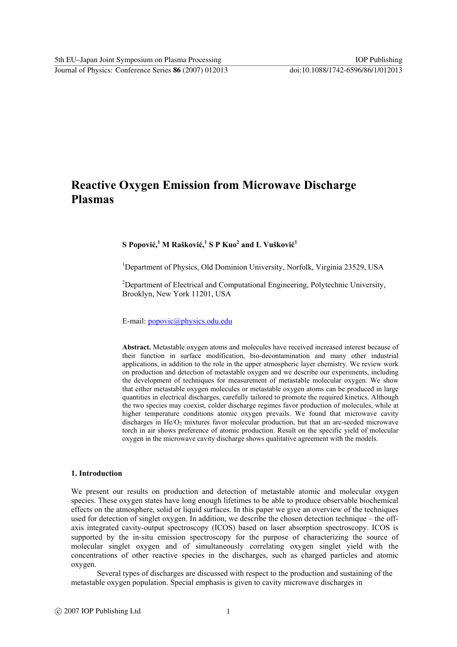# **Reactive Oxygen Emission from Microwave Discharge Plasmas**

# ${\bf S}$  Popović, $^1$  M Rašković, $^1$  S P Kuo $^2$  and L Vušković $^1$

<sup>1</sup>Department of Physics, Old Dominion University, Norfolk, Virginia 23529, USA

<sup>2</sup>Department of Electrical and Computational Engineering, Polytechnic University, Brooklyn, New York 11201, USA

E-mail: popovic@physics.odu.edu

**Abstract.** Metastable oxygen atoms and molecules have received increased interest because of their function in surface modification, bio-decontamination and many other industrial applications, in addition to the role in the upper atmospheric layer chemistry. We review work on production and detection of metastable oxygen and we describe our experiments, including the development of techniques for measurement of metastable molecular oxygen. We show that either metastable oxygen molecules or metastable oxygen atoms can be produced in large quantities in electrical discharges, carefully tailored to promote the required kinetics. Although the two species may coexist, colder discharge regimes favor production of molecules, while at higher temperature conditions atomic oxygen prevails. We found that microwave cavity discharges in He/O<sub>2</sub> mixtures favor molecular production, but that an arc-seeded microwave torch in air shows preference of atomic production. Result on the specific yield of molecular oxygen in the microwave cavity discharge shows qualitative agreement with the models.

## **1. Introduction**

We present our results on production and detection of metastable atomic and molecular oxygen species. These oxygen states have long enough lifetimes to be able to produce observable biochemical effects on the atmosphere, solid or liquid surfaces. In this paper we give an overview of the techniques used for detection of singlet oxygen. In addition, we describe the chosen detection technique – the offaxis integrated cavity-output spectroscopy (ICOS) based on laser absorption spectroscopy. ICOS is supported by the in-situ emission spectroscopy for the purpose of characterizing the source of molecular singlet oxygen and of simultaneously correlating oxygen singlet yield with the concentrations of other reactive species in the discharges, such as charged particles and atomic oxygen.

Several types of discharges are discussed with respect to the production and sustaining of the metastable oxygen population. Special emphasis is given to cavity microwave discharges in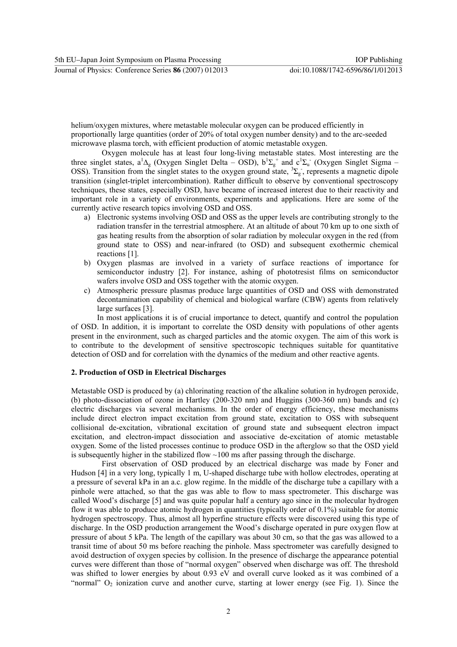helium/oxygen mixtures, where metastable molecular oxygen can be produced efficiently in proportionally large quantities (order of 20% of total oxygen number density) and to the arc-seeded microwave plasma torch, with efficient production of atomic metastable oxygen.

 Oxygen molecule has at least four long-living metastable states. Most interesting are the three singlet states,  $a^1\Delta_g$  (Oxygen Singlet Delta – OSD),  $b^1\Sigma_g^+$  and  $c^1\Sigma_u^-$  (Oxygen Singlet Sigma – OSS). Transition from the singlet states to the oxygen ground state,  ${}^3\Sigma_g$ , represents a magnetic dipole transition (singlet-triplet intercombination). Rather difficult to observe by conventional spectroscopy techniques, these states, especially OSD, have became of increased interest due to their reactivity and important role in a variety of environments, experiments and applications. Here are some of the currently active research topics involving OSD and OSS.

- a) Electronic systems involving OSD and OSS as the upper levels are contributing strongly to the radiation transfer in the terrestrial atmosphere. At an altitude of about 70 km up to one sixth of gas heating results from the absorption of solar radiation by molecular oxygen in the red (from ground state to OSS) and near-infrared (to OSD) and subsequent exothermic chemical reactions [1].
- b) Oxygen plasmas are involved in a variety of surface reactions of importance for semiconductor industry [2]. For instance, ashing of phototresist films on semiconductor wafers involve OSD and OSS together with the atomic oxygen.
- c) Atmospheric pressure plasmas produce large quantities of OSD and OSS with demonstrated decontamination capability of chemical and biological warfare (CBW) agents from relatively large surfaces [3].

In most applications it is of crucial importance to detect, quantify and control the population of OSD. In addition, it is important to correlate the OSD density with populations of other agents present in the environment, such as charged particles and the atomic oxygen. The aim of this work is to contribute to the development of sensitive spectroscopic techniques suitable for quantitative detection of OSD and for correlation with the dynamics of the medium and other reactive agents.

#### **2. Production of OSD in Electrical Discharges**

Metastable OSD is produced by (a) chlorinating reaction of the alkaline solution in hydrogen peroxide, (b) photo-dissociation of ozone in Hartley (200-320 nm) and Huggins (300-360 nm) bands and (c) electric discharges via several mechanisms. In the order of energy efficiency, these mechanisms include direct electron impact excitation from ground state, excitation to OSS with subsequent collisional de-excitation, vibrational excitation of ground state and subsequent electron impact excitation, and electron-impact dissociation and associative de-excitation of atomic metastable oxygen. Some of the listed processes continue to produce OSD in the afterglow so that the OSD yield is subsequently higher in the stabilized flow  $\sim$ 100 ms after passing through the discharge.

 First observation of OSD produced by an electrical discharge was made by Foner and Hudson [4] in a very long, typically 1 m, U-shaped discharge tube with hollow electrodes, operating at a pressure of several kPa in an a.c. glow regime. In the middle of the discharge tube a capillary with a pinhole were attached, so that the gas was able to flow to mass spectrometer. This discharge was called Wood's discharge [5] and was quite popular half a century ago since in the molecular hydrogen flow it was able to produce atomic hydrogen in quantities (typically order of 0.1%) suitable for atomic hydrogen spectroscopy. Thus, almost all hyperfine structure effects were discovered using this type of discharge. In the OSD production arrangement the Wood's discharge operated in pure oxygen flow at pressure of about 5 kPa. The length of the capillary was about 30 cm, so that the gas was allowed to a transit time of about 50 ms before reaching the pinhole. Mass spectrometer was carefully designed to avoid destruction of oxygen species by collision. In the presence of discharge the appearance potential curves were different than those of "normal oxygen" observed when discharge was off. The threshold was shifted to lower energies by about 0.93 eV and overall curve looked as it was combined of a "normal"  $O_2$  ionization curve and another curve, starting at lower energy (see Fig. 1). Since the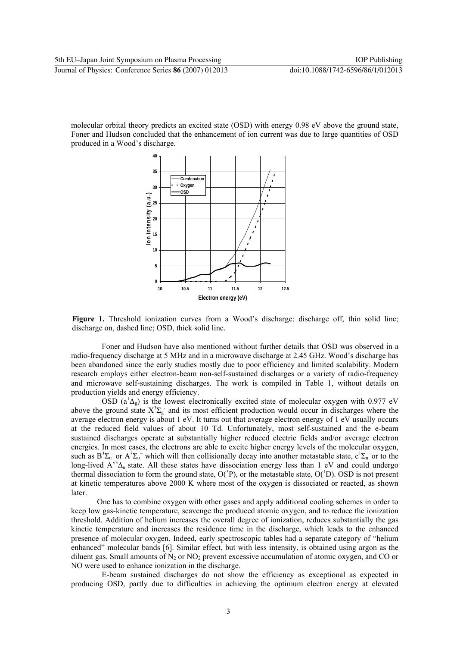molecular orbital theory predicts an excited state (OSD) with energy 0.98 eV above the ground state, Foner and Hudson concluded that the enhancement of ion current was due to large quantities of OSD produced in a Wood's discharge.



Figure 1. Threshold ionization curves from a Wood's discharge: discharge off, thin solid line; discharge on, dashed line; OSD, thick solid line.

 Foner and Hudson have also mentioned without further details that OSD was observed in a radio-frequency discharge at 5 MHz and in a microwave discharge at 2.45 GHz. Wood's discharge has been abandoned since the early studies mostly due to poor efficiency and limited scalability. Modern research employs either electron-beam non-self-sustained discharges or a variety of radio-frequency and microwave self-sustaining discharges. The work is compiled in Table 1, without details on production yields and energy efficiency.

OSD ( $a^1\Delta_g$ ) is the lowest electronically excited state of molecular oxygen with 0.977 eV above the ground state  $X^3\Sigma_g$  and its most efficient production would occur in discharges where the average electron energy is about 1 eV. It turns out that average electron energy of 1 eV usually occurs at the reduced field values of about 10 Td. Unfortunately, most self-sustained and the e-beam sustained discharges operate at substantially higher reduced electric fields and/or average electron energies. In most cases, the electrons are able to excite higher energy levels of the molecular oxygen, such as  $B^3\Sigma_u^-$  or  $A^3\Sigma_u^+$  which will then collisionally decay into another metastable state,  $c^1\Sigma_u^-$  or to the long-lived  $A^3 \Delta_u$  state. All these states have dissociation energy less than 1 eV and could undergo thermal dissociation to form the ground state,  $O(^3P)$ , or the metastable state,  $O(^1D)$ . OSD is not present at kinetic temperatures above 2000 K where most of the oxygen is dissociated or reacted, as shown later.

One has to combine oxygen with other gases and apply additional cooling schemes in order to keep low gas-kinetic temperature, scavenge the produced atomic oxygen, and to reduce the ionization threshold. Addition of helium increases the overall degree of ionization, reduces substantially the gas kinetic temperature and increases the residence time in the discharge, which leads to the enhanced presence of molecular oxygen. Indeed, early spectroscopic tables had a separate category of "helium enhanced" molecular bands [6]. Similar effect, but with less intensity, is obtained using argon as the diluent gas. Small amounts of  $N_2$  or  $NO_2$  prevent excessive accumulation of atomic oxygen, and CO or NO were used to enhance ionization in the discharge.

 E-beam sustained discharges do not show the efficiency as exceptional as expected in producing OSD, partly due to difficulties in achieving the optimum electron energy at elevated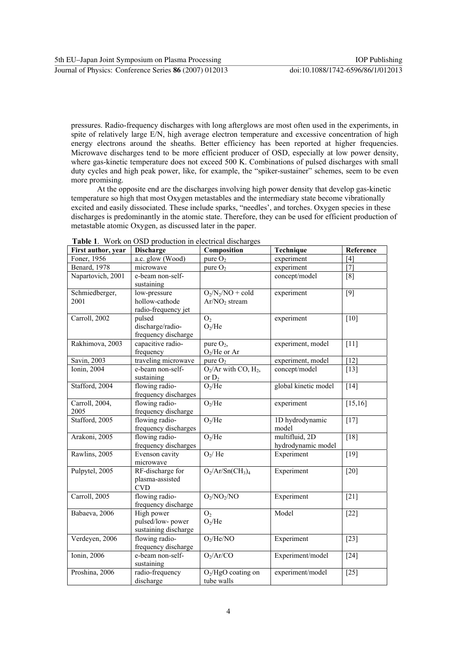pressures. Radio-frequency discharges with long afterglows are most often used in the experiments, in spite of relatively large E/N, high average electron temperature and excessive concentration of high energy electrons around the sheaths. Better efficiency has been reported at higher frequencies. Microwave discharges tend to be more efficient producer of OSD, especially at low power density, where gas-kinetic temperature does not exceed 500 K. Combinations of pulsed discharges with small duty cycles and high peak power, like, for example, the "spiker-sustainer" schemes, seem to be even more promising.

At the opposite end are the discharges involving high power density that develop gas-kinetic temperature so high that most Oxygen metastables and the intermediary state become vibrationally excited and easily dissociated. These include sparks, "needles', and torches. Oxygen species in these discharges is predominantly in the atomic state. Therefore, they can be used for efficient production of metastable atomic Oxygen, as discussed later in the paper.

| First author, year     | <b>Discharge</b>                                       | Composition                                                 | Technique                            | Reference         |
|------------------------|--------------------------------------------------------|-------------------------------------------------------------|--------------------------------------|-------------------|
| Foner, 1956            | a.c. glow (Wood)                                       | pure $O_2$                                                  | experiment                           | [4]               |
| <b>Benard</b> , 1978   | microwave                                              | pure $O2$                                                   | experiment                           | $[7]$             |
| Napartovich, 2001      | e-beam non-self-<br>sustaining                         |                                                             | concept/model                        | [8]               |
| Schmiedberger,<br>2001 | low-pressure<br>hollow-cathode<br>radio-frequency jet  | $O_2/N_2/NO + \overline{cold}$<br>Ar/NO <sub>2</sub> stream | experiment                           | $[9]$             |
| Carroll, 2002          | pulsed<br>discharge/radio-<br>frequency discharge      | O <sub>2</sub><br>O <sub>2</sub> /He                        | experiment                           | $\overline{10}$   |
| Rakhimova, 2003        | capacitive radio-<br>frequency                         | pure $O_2$ ,<br>$O2/He$ or Ar                               | experiment, model                    | $[11]$            |
| Savin, 2003            | traveling microwave                                    | pure $O_2$                                                  | experiment, model                    | [12]              |
| <b>Ionin</b> , 2004    | e-beam non-self-<br>sustaining                         | $O_2$ /Ar with CO, $H_2$ ,<br>or $D_2$                      | concept/model                        | $[13]$            |
| Stafford, 2004         | flowing radio-<br>frequency discharges                 | O <sub>2</sub> /He                                          | global kinetic model                 | $[14]$            |
| Carroll, 2004,<br>2005 | flowing radio-<br>frequency discharge                  | O <sub>2</sub> /He                                          | experiment                           | [15, 16]          |
| Stafford, 2005         | flowing radio-<br>frequency discharges                 | O <sub>2</sub> /He                                          | 1D hydrodynamic<br>model             | $[17]$            |
| Arakoni, 2005          | flowing radio-<br>frequency discharges                 | O <sub>2</sub> /He                                          | multifluid, 2D<br>hydrodynamic model | $[18]$            |
| Rawlins, 2005          | Evenson cavity<br>microwave                            | O <sub>2</sub> /He                                          | Experiment                           | $[19]$            |
| Pulpytel, 2005         | RF-discharge for<br>plasma-assisted<br><b>CVD</b>      | $O_2/Ar/Sn(CH_3)_4$                                         | Experiment                           | $[20]$            |
| Carroll, 2005          | flowing radio-<br>frequency discharge                  | $O_2/NO_2/NO$                                               | Experiment                           | $\overline{[21]}$ |
| Babaeva, 2006          | High power<br>pulsed/low-power<br>sustaining discharge | O <sub>2</sub><br>$O_2$ /He                                 | Model                                | $[22]$            |
| Verdeyen, 2006         | flowing radio-<br>frequency discharge                  | $O_2$ /He/NO                                                | Experiment                           | $[23]$            |
| Ionin, 2006            | e-beam non-self-<br>sustaining                         | $O_2/Ar/CO$                                                 | Experiment/model                     | $[24]$            |
| Proshina, 2006         | radio-frequency<br>discharge                           | $O_2/HgO$ coating on<br>tube walls                          | experiment/model                     | $\overline{[25]}$ |

**Table 1**. Work on OSD production in electrical discharges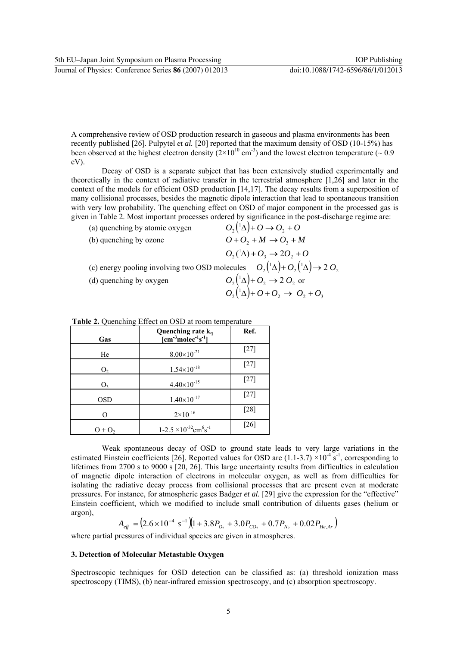A comprehensive review of OSD production research in gaseous and plasma environments has been recently published [26]. Pulpytel *et al.* [20] reported that the maximum density of OSD (10-15%) has been observed at the highest electron density  $(2\times10^{10} \text{ cm}^3)$  and the lowest electron temperature (~ 0.9 eV).

 Decay of OSD is a separate subject that has been extensively studied experimentally and theoretically in the context of radiative transfer in the terrestrial atmosphere [1,26] and later in the context of the models for efficient OSD production [14,17]. The decay results from a superposition of many collisional processes, besides the magnetic dipole interaction that lead to spontaneous transition with very low probability. The quenching effect on OSD of major component in the processed gas is given in Table 2. Most important processes ordered by significance in the post-discharge regime are:

| (a) quenching by atomic oxygen                                                                   | $O_2(^1\Delta)+O\rightarrow O_2+O$             |
|--------------------------------------------------------------------------------------------------|------------------------------------------------|
| (b) quenching by ozone                                                                           | $O+O_2+M \rightarrow O_3+M$                    |
|                                                                                                  | $O_2(^1\Delta) + O_3 \rightarrow 2O_2 + O$     |
| (c) energy pooling involving two OSD molecules $O_2(^1\Delta) + O_2(^1\Delta) \rightarrow 2 O_2$ |                                                |
| (d) quenching by oxygen                                                                          | $O_2({}^1\Delta)$ + $O_2 \rightarrow 2 O_2$ or |
|                                                                                                  | $O_2(1\Delta)+O_2+O_2\rightarrow O_2+O_3$      |
|                                                                                                  |                                                |

| Gas            | Quenching rate kq<br>$[cm3molec-1s-1]$                  | Ref.   |
|----------------|---------------------------------------------------------|--------|
| He             | $8.00\times10^{-21}$                                    | $[27]$ |
| O <sub>2</sub> | $1.54\times10^{-18}$                                    | $[27]$ |
| O <sub>3</sub> | $4.40\times10^{-15}$                                    | $[27]$ |
| <b>OSD</b>     | $1.40\times10^{-17}$                                    | $[27]$ |
| ∩              | $2 \times 10^{-16}$                                     | $[28]$ |
| $O + O2$       | $1-2.5 \times 10^{-32}$ cm <sup>6</sup> s <sup>-1</sup> | $[26]$ |

**Table 2.** Quenching Effect on OSD at room temperature

 Weak spontaneous decay of OSD to ground state leads to very large variations in the estimated Einstein coefficients [26]. Reported values for OSD are  $(1.1-3.7) \times 10^{-4}$  s<sup>-1</sup>, corresponding to lifetimes from 2700 s to 9000 s [20, 26]. This large uncertainty results from difficulties in calculation of magnetic dipole interaction of electrons in molecular oxygen, as well as from difficulties for isolating the radiative decay process from collisional processes that are present even at moderate pressures. For instance, for atmospheric gases Badger *et al.* [29] give the expression for the "effective" Einstein coefficient, which we modified to include small contribution of diluents gases (helium or argon),

$$
A_{\text{eff}} = (2.6 \times 10^{-4} \text{ s}^{-1})(1 + 3.8P_{O_2} + 3.0P_{CO_2} + 0.7P_{N_2} + 0.02P_{He,Ar})
$$

where partial pressures of individual species are given in atmospheres.

#### **3. Detection of Molecular Metastable Oxygen**

Spectroscopic techniques for OSD detection can be classified as: (a) threshold ionization mass spectroscopy (TIMS), (b) near-infrared emission spectroscopy, and (c) absorption spectroscopy.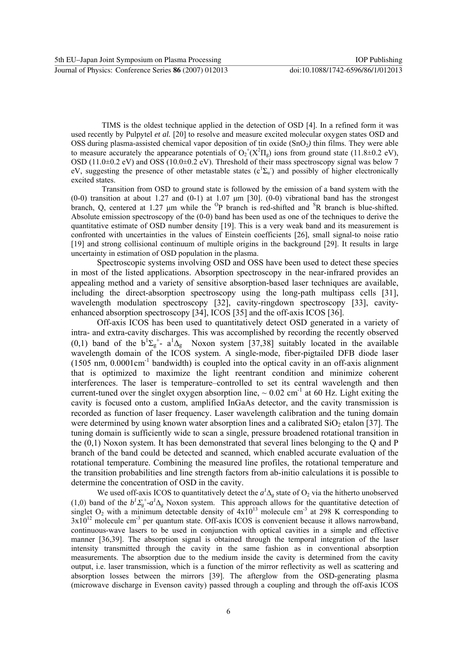TIMS is the oldest technique applied in the detection of OSD [4]. In a refined form it was used recently by Pulpytel *et al.* [20] to resolve and measure excited molecular oxygen states OSD and OSS during plasma-assisted chemical vapor deposition of tin oxide (SnO<sub>2</sub>) thin films. They were able to measure accurately the appearance potentials of  $O_2^+(X^2\Pi_g)$  ions from ground state (11.8±0.2 eV), OSD (11.0 $\pm$ 0.2 eV) and OSS (10.0 $\pm$ 0.2 eV). Threshold of their mass spectroscopy signal was below 7 eV, suggesting the presence of other metastable states  $(c^1\Sigma_u)$  and possibly of higher electronically excited states.

 Transition from OSD to ground state is followed by the emission of a band system with the  $(0-0)$  transition at about 1.27 and  $(0-1)$  at 1.07  $\mu$ m [30]. (0-0) vibrational band has the strongest branch, Q, centered at 1.27  $\mu$ m while the <sup>O</sup>P branch is red-shifted and <sup>S</sup>R branch is blue-shifted. Absolute emission spectroscopy of the (0-0) band has been used as one of the techniques to derive the quantitative estimate of OSD number density [19]. This is a very weak band and its measurement is confronted with uncertainties in the values of Einstein coefficients [26], small signal-to noise ratio [19] and strong collisional continuum of multiple origins in the background [29]. It results in large uncertainty in estimation of OSD population in the plasma.

Spectroscopic systems involving OSD and OSS have been used to detect these species in most of the listed applications. Absorption spectroscopy in the near-infrared provides an appealing method and a variety of sensitive absorption-based laser techniques are available, including the direct-absorption spectroscopy using the long-path multipass cells [31], wavelength modulation spectroscopy [32], cavity-ringdown spectroscopy [33], cavityenhanced absorption spectroscopy [34], ICOS [35] and the off-axis ICOS [36].

Off-axis ICOS has been used to quantitatively detect OSD generated in a variety of intra- and extra-cavity discharges. This was accomplished by recording the recently observed (0,1) band of the  $b^1\Sigma_g^+$ -  $a^1\Delta_g$  Noxon system [37,38] suitably located in the available wavelength domain of the ICOS system. A single-mode, fiber-pigtailed DFB diode laser  $(1505 \text{ nm}, 0.0001 \text{ cm}^{-1})$  bandwidth) is coupled into the optical cavity in an off-axis alignment that is optimized to maximize the light reentrant condition and minimize coherent interferences. The laser is temperature–controlled to set its central wavelength and then current-tuned over the singlet oxygen absorption line,  $\sim 0.02$  cm<sup>-1</sup> at 60 Hz. Light exiting the cavity is focused onto a custom, amplified InGaAs detector, and the cavity transmission is recorded as function of laser frequency. Laser wavelength calibration and the tuning domain were determined by using known water absorption lines and a calibrated  $SiO<sub>2</sub>$  etalon [37]. The tuning domain is sufficiently wide to scan a single, pressure broadened rotational transition in the (0,1) Noxon system. It has been demonstrated that several lines belonging to the Q and P branch of the band could be detected and scanned, which enabled accurate evaluation of the rotational temperature. Combining the measured line profiles, the rotational temperature and the transition probabilities and line strength factors from ab-initio calculations it is possible to determine the concentration of OSD in the cavity.

We used off-axis ICOS to quantitatively detect the  $a^I\Delta_g$  state of O<sub>2</sub> via the hitherto unobserved (1,0) band of the  $b^T \Sigma_g^+$ - $a^T \Delta_g$  Noxon system. This approach allows for the quantitative detection of singlet  $O_2$  with a minimum detectable density of  $4x10^{13}$  molecule cm<sup>-3</sup> at 298 K corresponding to  $3x10^{12}$  molecule cm<sup>-3</sup> per quantum state. Off-axis ICOS is convenient because it allows narrowband, continuous-wave lasers to be used in conjunction with optical cavities in a simple and effective manner [36,39]. The absorption signal is obtained through the temporal integration of the laser intensity transmitted through the cavity in the same fashion as in conventional absorption measurements. The absorption due to the medium inside the cavity is determined from the cavity output, i.e. laser transmission, which is a function of the mirror reflectivity as well as scattering and absorption losses between the mirrors [39]. The afterglow from the OSD-generating plasma (microwave discharge in Evenson cavity) passed through a coupling and through the off-axis ICOS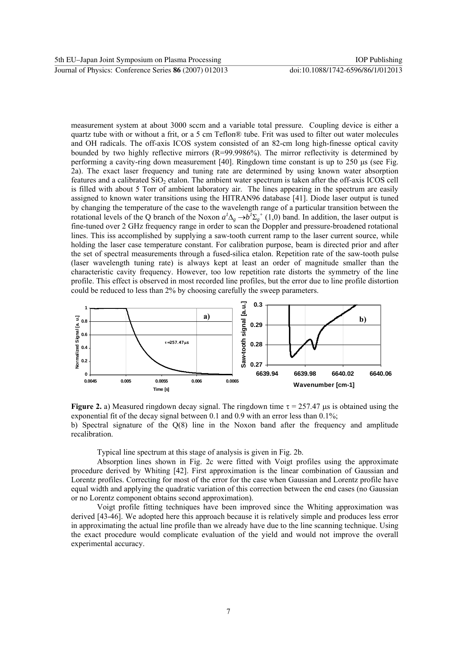measurement system at about 3000 sccm and a variable total pressure. Coupling device is either a quartz tube with or without a frit, or a 5 cm Teflon® tube. Frit was used to filter out water molecules and OH radicals. The off-axis ICOS system consisted of an 82-cm long high-finesse optical cavity bounded by two highly reflective mirrors (R=99.9986%). The mirror reflectivity is determined by performing a cavity-ring down measurement [40]. Ringdown time constant is up to  $250 \mu s$  (see Fig. 2a). The exact laser frequency and tuning rate are determined by using known water absorption features and a calibrated  $SiO<sub>2</sub>$  etalon. The ambient water spectrum is taken after the off-axis ICOS cell is filled with about 5 Torr of ambient laboratory air. The lines appearing in the spectrum are easily assigned to known water transitions using the HITRAN96 database [41]. Diode laser output is tuned by changing the temperature of the case to the wavelength range of a particular transition between the rotational levels of the Q branch of the Noxon  $a^l \Delta_g \to b^l \Sigma_g^+$  (1,0) band. In addition, the laser output is fine-tuned over 2 GHz frequency range in order to scan the Doppler and pressure-broadened rotational lines. This iss accomplished by supplying a saw-tooth current ramp to the laser current source, while holding the laser case temperature constant. For calibration purpose, beam is directed prior and after the set of spectral measurements through a fused-silica etalon. Repetition rate of the saw-tooth pulse (laser wavelength tuning rate) is always kept at least an order of magnitude smaller than the characteristic cavity frequency. However, too low repetition rate distorts the symmetry of the line profile. This effect is observed in most recorded line profiles, but the error due to line profile distortion could be reduced to less than 2% by choosing carefully the sweep parameters.



**Figure 2.** a) Measured ringdown decay signal. The ringdown time  $\tau = 257.47$  µs is obtained using the exponential fit of the decay signal between 0.1 and 0.9 with an error less than 0.1%; b) Spectral signature of the Q(8) line in the Noxon band after the frequency and amplitude recalibration.

Typical line spectrum at this stage of analysis is given in Fig. 2b.

Absorption lines shown in Fig. 2c were fitted with Voigt profiles using the approximate procedure derived by Whiting [42]. First approximation is the linear combination of Gaussian and Lorentz profiles. Correcting for most of the error for the case when Gaussian and Lorentz profile have equal width and applying the quadratic variation of this correction between the end cases (no Gaussian or no Lorentz component obtains second approximation).

Voigt profile fitting techniques have been improved since the Whiting approximation was derived [43-46]. We adopted here this approach because it is relatively simple and produces less error in approximating the actual line profile than we already have due to the line scanning technique. Using the exact procedure would complicate evaluation of the yield and would not improve the overall experimental accuracy.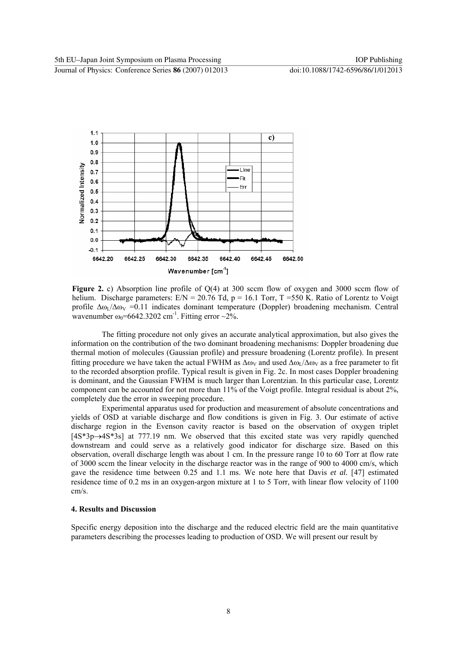

**Figure 2.** c) Absorption line profile of Q(4) at 300 sccm flow of oxygen and 3000 sccm flow of helium. Discharge parameters: E/N = 20.76 Td, p = 16.1 Torr, T = 550 K. Ratio of Lorentz to Voigt profile  $\Delta\omega_I/\Delta\omega_V = 0.11$  indicates dominant temperature (Doppler) broadening mechanism. Central wavenumber  $\omega_0$ =6642.3202 cm<sup>-1</sup>. Fitting error ~2%.

 The fitting procedure not only gives an accurate analytical approximation, but also gives the information on the contribution of the two dominant broadening mechanisms: Doppler broadening due thermal motion of molecules (Gaussian profile) and pressure broadening (Lorentz profile). In present fitting procedure we have taken the actual FWHM as  $\Delta\omega_V$  and used  $\Delta\omega_I/\Delta\omega_V$  as a free parameter to fit to the recorded absorption profile. Typical result is given in Fig. 2c. In most cases Doppler broadening is dominant, and the Gaussian FWHM is much larger than Lorentzian. In this particular case, Lorentz component can be accounted for not more than 11% of the Voigt profile. Integral residual is about 2%, completely due the error in sweeping procedure.

Experimental apparatus used for production and measurement of absolute concentrations and yields of OSD at variable discharge and flow conditions is given in Fig. 3. Our estimate of active discharge region in the Evenson cavity reactor is based on the observation of oxygen triplet [4S\*3p→4S\*3s] at 777.19 nm. We observed that this excited state was very rapidly quenched downstream and could serve as a relatively good indicator for discharge size. Based on this observation, overall discharge length was about 1 cm. In the pressure range 10 to 60 Torr at flow rate of 3000 sccm the linear velocity in the discharge reactor was in the range of 900 to 4000 cm/s, which gave the residence time between 0.25 and 1.1 ms. We note here that Davis *et al.* [47] estimated residence time of 0.2 ms in an oxygen-argon mixture at 1 to 5 Torr, with linear flow velocity of 1100 cm/s.

#### **4. Results and Discussion**

Specific energy deposition into the discharge and the reduced electric field are the main quantitative parameters describing the processes leading to production of OSD. We will present our result by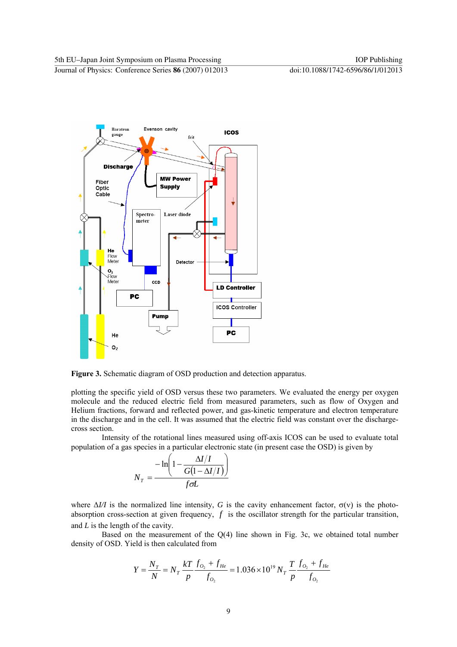

**Figure 3.** Schematic diagram of OSD production and detection apparatus.

plotting the specific yield of OSD versus these two parameters. We evaluated the energy per oxygen molecule and the reduced electric field from measured parameters, such as flow of Oxygen and Helium fractions, forward and reflected power, and gas-kinetic temperature and electron temperature in the discharge and in the cell. It was assumed that the electric field was constant over the dischargecross section.

Intensity of the rotational lines measured using off-axis ICOS can be used to evaluate total population of a gas species in a particular electronic state (in present case the OSD) is given by

$$
N_T = \frac{-\ln\left(1 - \frac{\Delta I/I}{G(1 - \Delta I/I)}\right)}{f\sigma L}
$$

where  $ΔI/I$  is the normalized line intensity, *G* is the cavity enhancement factor,  $σ(v)$  is the photoabsorption cross-section at given frequency, *f* is the oscillator strength for the particular transition, and *L* is the length of the cavity.

Based on the measurement of the Q(4) line shown in Fig. 3c, we obtained total number density of OSD. Yield is then calculated from

$$
Y = \frac{N_T}{N} = N_T \frac{kT}{p} \frac{f_{O_2} + f_{He}}{f_{O_2}} = 1.036 \times 10^{19} N_T \frac{T}{p} \frac{f_{O_2} + f_{He}}{f_{O_2}}
$$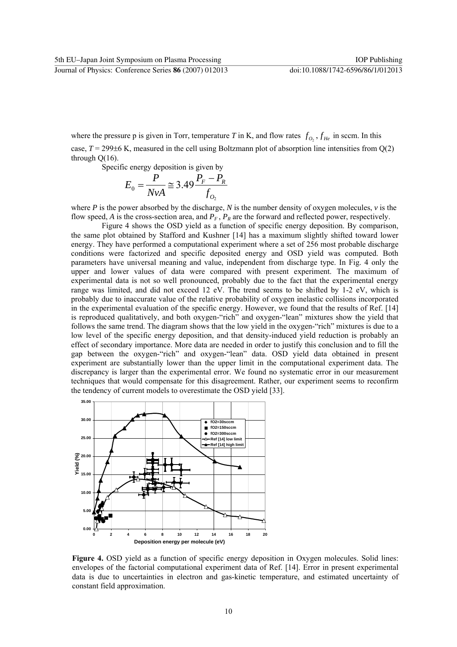where the pressure p is given in Torr, temperature *T* in K, and flow rates  $f_{O_2}$ ,  $f_{He}$  in sccm. In this case,  $T = 299\pm6$  K, measured in the cell using Boltzmann plot of absorption line intensities from  $Q(2)$ through  $Q(16)$ .

Specific energy deposition is given by

$$
E_0 = \frac{P}{NvA} \approx 3.49 \frac{P_F - P_R}{f_{O_2}}
$$

where *P* is the power absorbed by the discharge, *N* is the number density of oxygen molecules,  $\nu$  is the flow speed, *A* is the cross-section area, and  $P_F$ ,  $P_R$  are the forward and reflected power, respectively.

Figure 4 shows the OSD yield as a function of specific energy deposition. By comparison, the same plot obtained by Stafford and Kushner [14] has a maximum slightly shifted toward lower energy. They have performed a computational experiment where a set of 256 most probable discharge conditions were factorized and specific deposited energy and OSD yield was computed. Both parameters have universal meaning and value, independent from discharge type. In Fig. 4 only the upper and lower values of data were compared with present experiment. The maximum of experimental data is not so well pronounced, probably due to the fact that the experimental energy range was limited, and did not exceed 12 eV. The trend seems to be shifted by 1-2 eV, which is probably due to inaccurate value of the relative probability of oxygen inelastic collisions incorporated in the experimental evaluation of the specific energy. However, we found that the results of Ref. [14] is reproduced qualitatively, and both oxygen-"rich" and oxygen-"lean" mixtures show the yield that follows the same trend. The diagram shows that the low yield in the oxygen-"rich" mixtures is due to a low level of the specific energy deposition, and that density-induced yield reduction is probably an effect of secondary importance. More data are needed in order to justify this conclusion and to fill the gap between the oxygen-"rich" and oxygen-"lean" data. OSD yield data obtained in present experiment are substantially lower than the upper limit in the computational experiment data. The discrepancy is larger than the experimental error. We found no systematic error in our measurement techniques that would compensate for this disagreement. Rather, our experiment seems to reconfirm the tendency of current models to overestimate the OSD yield [33].



**Figure 4.** OSD yield as a function of specific energy deposition in Oxygen molecules. Solid lines: envelopes of the factorial computational experiment data of Ref. [14]. Error in present experimental data is due to uncertainties in electron and gas-kinetic temperature, and estimated uncertainty of constant field approximation.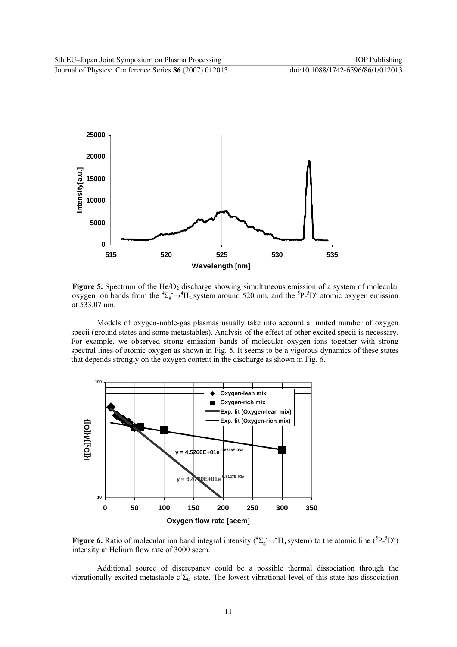

Figure 5. Spectrum of the He/O<sub>2</sub> discharge showing simultaneous emission of a system of molecular oxygen ion bands from the  ${}^4\Sigma_g \rightarrow {}^4\Pi_u$  system around 520 nm, and the  ${}^5P$ - ${}^5D^{\circ}$  atomic oxygen emission at 533.07 nm.

Models of oxygen-noble-gas plasmas usually take into account a limited number of oxygen specii (ground states and some metastables). Analysis of the effect of other excited specii is necessary. For example, we observed strong emission bands of molecular oxygen ions together with strong spectral lines of atomic oxygen as shown in Fig. 5. It seems to be a vigorous dynamics of these states that depends strongly on the oxygen content in the discharge as shown in Fig. 6.



**Figure 6.** Ratio of molecular ion band integral intensity  $({}^4\Sigma_g \rightarrow {}^4\Pi_u$  system) to the atomic line ( ${}^5P$ - ${}^5D^{\circ}$ ) intensity at Helium flow rate of 3000 sccm.

Additional source of discrepancy could be a possible thermal dissociation through the vibrationally excited metastable  $c^1\Sigma_u$  state. The lowest vibrational level of this state has dissociation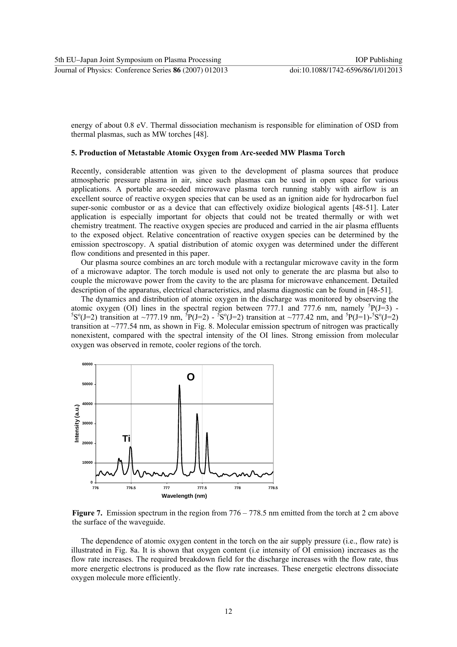energy of about 0.8 eV. Thermal dissociation mechanism is responsible for elimination of OSD from thermal plasmas, such as MW torches [48].

#### **5. Production of Metastable Atomic Oxygen from Arc-seeded MW Plasma Torch**

Recently, considerable attention was given to the development of plasma sources that produce atmospheric pressure plasma in air, since such plasmas can be used in open space for various applications. A portable arc-seeded microwave plasma torch running stably with airflow is an excellent source of reactive oxygen species that can be used as an ignition aide for hydrocarbon fuel super-sonic combustor or as a device that can effectively oxidize biological agents [48-51]. Later application is especially important for objects that could not be treated thermally or with wet chemistry treatment. The reactive oxygen species are produced and carried in the air plasma effluents to the exposed object. Relative concentration of reactive oxygen species can be determined by the emission spectroscopy. A spatial distribution of atomic oxygen was determined under the different flow conditions and presented in this paper.

Our plasma source combines an arc torch module with a rectangular microwave cavity in the form of a microwave adaptor. The torch module is used not only to generate the arc plasma but also to couple the microwave power from the cavity to the arc plasma for microwave enhancement. Detailed description of the apparatus, electrical characteristics, and plasma diagnostic can be found in [48-51].

The dynamics and distribution of atomic oxygen in the discharge was monitored by observing the atomic oxygen (OI) lines in the spectral region between 777.1 and 777.6 nm, namely  ${}^{5}P(J=3)$  -<br> ${}^{5}S^{9}(J=2)$  transition at  $777,19$  nm,  ${}^{5}P(J=2)$   ${}^{5}S^{9}(J=2)$  transition at  $777,42$  nm, and  ${}^{5}P(J=1)$   ${}^{5}S^{9}(J=2$  $S^0(J=2)$  transition at ~777.19 nm,  ${}^5P(J=2) - {}^5S^0(J=2)$  transition at ~777.42 nm, and  ${}^5P(J=1) - {}^5S^0(J=2)$ transition at ~777.54 nm, as shown in Fig. 8. Molecular emission spectrum of nitrogen was practically nonexistent, compared with the spectral intensity of the OI lines. Strong emission from molecular oxygen was observed in remote, cooler regions of the torch.



**Figure 7.** Emission spectrum in the region from  $776 - 778.5$  nm emitted from the torch at 2 cm above the surface of the waveguide.

The dependence of atomic oxygen content in the torch on the air supply pressure (i.e., flow rate) is illustrated in Fig. 8a. It is shown that oxygen content (i.e intensity of OI emission) increases as the flow rate increases. The required breakdown field for the discharge increases with the flow rate, thus more energetic electrons is produced as the flow rate increases. These energetic electrons dissociate oxygen molecule more efficiently.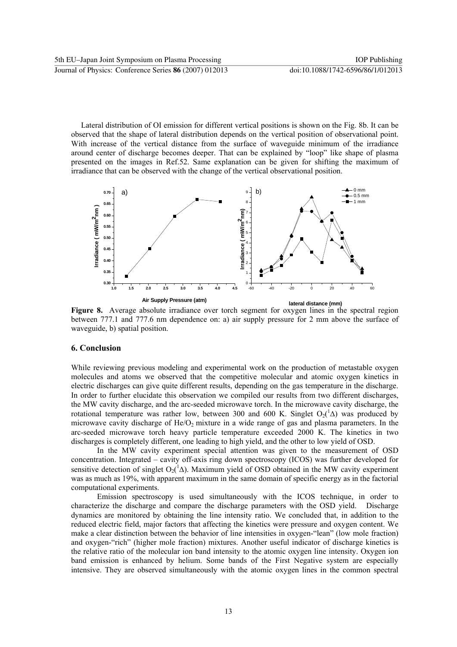Lateral distribution of OI emission for different vertical positions is shown on the Fig. 8b. It can be observed that the shape of lateral distribution depends on the vertical position of observational point. With increase of the vertical distance from the surface of waveguide minimum of the irradiance around center of discharge becomes deeper. That can be explained by "loop" like shape of plasma presented on the images in Ref.52. Same explanation can be given for shifting the maximum of irradiance that can be observed with the change of the vertical observational position.



**Figure 8.** Average absolute irradiance over torch segment for oxygen lines in the spectral region between 777.1 and 777.6 nm dependence on: a) air supply pressure for 2 mm above the surface of waveguide, b) spatial position.

# **6. Conclusion**

While reviewing previous modeling and experimental work on the production of metastable oxygen molecules and atoms we observed that the competitive molecular and atomic oxygen kinetics in electric discharges can give quite different results, depending on the gas temperature in the discharge. In order to further elucidate this observation we compiled our results from two different discharges, the MW cavity discharge, and the arc-seeded microwave torch. In the microwave cavity discharge, the rotational temperature was rather low, between 300 and 600 K. Singlet  $O_2(^1\Delta)$  was produced by microwave cavity discharge of  $He/O<sub>2</sub>$  mixture in a wide range of gas and plasma parameters. In the arc-seeded microwave torch heavy particle temperature exceeded 2000 K. The kinetics in two discharges is completely different, one leading to high yield, and the other to low yield of OSD.

In the MW cavity experiment special attention was given to the measurement of OSD concentration. Integrated – cavity off-axis ring down spectroscopy (ICOS) was further developed for sensitive detection of singlet  $O_2(^1\Delta)$ . Maximum yield of OSD obtained in the MW cavity experiment was as much as 19%, with apparent maximum in the same domain of specific energy as in the factorial computational experiments.

Emission spectroscopy is used simultaneously with the ICOS technique, in order to characterize the discharge and compare the discharge parameters with the OSD yield. Discharge dynamics are monitored by obtaining the line intensity ratio. We concluded that, in addition to the reduced electric field, major factors that affecting the kinetics were pressure and oxygen content. We make a clear distinction between the behavior of line intensities in oxygen-"lean" (low mole fraction) and oxygen-"rich" (higher mole fraction) mixtures. Another useful indicator of discharge kinetics is the relative ratio of the molecular ion band intensity to the atomic oxygen line intensity. Oxygen ion band emission is enhanced by helium. Some bands of the First Negative system are especially intensive. They are observed simultaneously with the atomic oxygen lines in the common spectral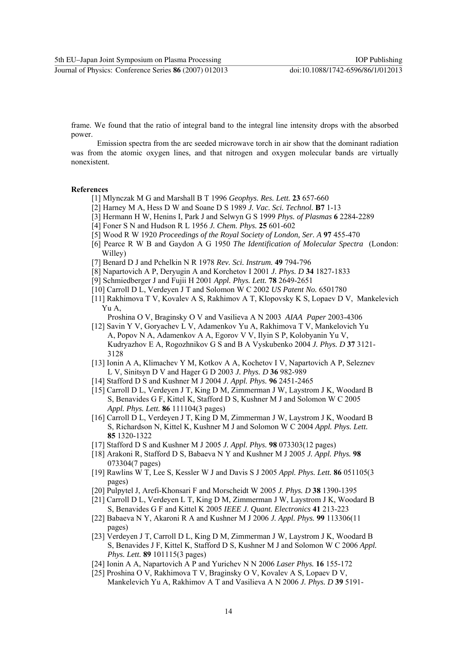frame. We found that the ratio of integral band to the integral line intensity drops with the absorbed power.

Emission spectra from the arc seeded microwave torch in air show that the dominant radiation was from the atomic oxygen lines, and that nitrogen and oxygen molecular bands are virtually nonexistent.

#### **References**

- [1] Mlynczak M G and Marshall B T 1996 *Geophys. Res. Lett.* **23** 657-660
- [2] Harney M A, Hess D W and Soane D S 1989 *J. Vac. Sci. Technol.* **B7** 1-13
- [3] Hermann H W, Henins I, Park J and Selwyn G S 1999 *Phys. of Plasmas* **6** 2284-2289
- [4] Foner S N and Hudson R L 1956 *J. Chem. Phys.* **25** 601-602
- [5] Wood R W 1920 *Proceedings of the Royal Society of London, Ser. A* **97** 455-470
- [6] Pearce R W B and Gaydon A G 1950 *The Identification of Molecular Spectra* (London: Willey)
- [7] Benard D J and Pchelkin N R 1978 *Rev. Sci. Instrum.* **49** 794-796
- [8] Napartovich A P, Deryugin A and Korchetov I 2001 *J. Phys. D* **34** 1827-1833
- [9] Schmiedberger J and Fujii H 2001 *Appl. Phys. Lett.* **78** 2649-2651
- [10] Carroll D L, Verdeyen J T and Solomon W C 2002 *US Patent No.* 6501780
- [11] Rakhimova T V, Kovalev A S, Rakhimov A T, Klopovsky K S, Lopaev D V, Mankelevich Yu A,
	- Proshina O V, Braginsky O V and Vasilieva A N 2003 *AIAA Paper* 2003-4306
- [12] Savin Y V, Goryachev L V, Adamenkov Yu A, Rakhimova T V, Mankelovich Yu A, Popov N A, Adamenkov A A, Egorov V V, Ilyin S P, Kolobyanin Yu V, Kudryazhov E A, Rogozhnikov G S and B A Vyskubenko 2004 *J. Phys. D* **37** 3121- 3128
- [13] Ionin A A, Klimachev Y M, Kotkov A A, Kochetov I V, Napartovich A P, Seleznev L V, Sinitsyn D V and Hager G D 2003 *J. Phys. D* **36** 982-989
- [14] Stafford D S and Kushner M J 2004 *J. Appl. Phys.* **96** 2451-2465
- [15] Carroll D L, Verdeyen J T, King D M, Zimmerman J W, Laystrom J K, Woodard B S, Benavides G F, Kittel K, Stafford D S, Kushner M J and Solomon W C 2005 *Appl. Phys. Lett.* **86** 111104(3 pages)
- [16] Carroll D L, Verdeyen J T, King D M, Zimmerman J W, Laystrom J K, Woodard B S, Richardson N, Kittel K, Kushner M J and Solomon W C 2004 *Appl. Phys. Lett.*  **85** 1320-1322
- [17] Stafford D S and Kushner M J 2005 *J. Appl. Phys.* **98** 073303(12 pages)
- [18] Arakoni R, Stafford D S, Babaeva N Y and Kushner M J 2005 *J. Appl. Phys.* **98** 073304(7 pages)
- [19] Rawlins W T, Lee S, Kessler W J and Davis S J 2005 *Appl. Phys. Lett.* **86** 051105(3 pages)
- [20] Pulpytel J, Arefi-Khonsari F and Morscheidt W 2005 *J. Phys. D* **38** 1390-1395
- [21] Carroll D L, Verdeyen L T, King D M, Zimmerman J W, Laystrom J K, Woodard B S, Benavides G F and Kittel K 2005 *IEEE J. Quant. Electronics* **41** 213-223
- [22] Babaeva N Y, Akaroni R A and Kushner M J 2006 *J. Appl. Phys.* **99** 113306(11 pages)
- [23] Verdeyen J T, Carroll D L, King D M, Zimmerman J W, Laystrom J K, Woodard B S, Benavides J F, Kittel K, Stafford D S, Kushner M J and Solomon W C 2006 *Appl. Phys. Lett.* **89** 101115(3 pages)
- [24] Ionin A A, Napartovich A P and Yurichev N N 2006 *Laser Phys.* **16** 155-172
- [25] Proshina O V, Rakhimova T V, Braginsky O V, Kovalev A S, Lopaev D V, Mankelevich Yu A, Rakhimov A T and Vasilieva A N 2006 *J. Phys. D* **39** 5191-